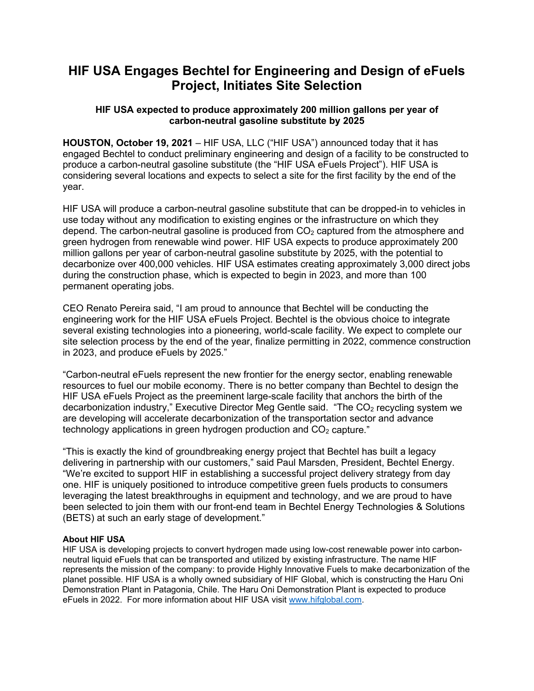# **HIF USA Engages Bechtel for Engineering and Design of eFuels Project, Initiates Site Selection**

## **HIF USA expected to produce approximately 200 million gallons per year of carbon-neutral gasoline substitute by 2025**

**HOUSTON, October 19, 2021** – HIF USA, LLC ("HIF USA") announced today that it has engaged Bechtel to conduct preliminary engineering and design of a facility to be constructed to produce a carbon-neutral gasoline substitute (the "HIF USA eFuels Project"). HIF USA is considering several locations and expects to select a site for the first facility by the end of the year.

HIF USA will produce a carbon-neutral gasoline substitute that can be dropped-in to vehicles in use today without any modification to existing engines or the infrastructure on which they depend. The carbon-neutral gasoline is produced from  $CO<sub>2</sub>$  captured from the atmosphere and green hydrogen from renewable wind power. HIF USA expects to produce approximately 200 million gallons per year of carbon-neutral gasoline substitute by 2025, with the potential to decarbonize over 400,000 vehicles. HIF USA estimates creating approximately 3,000 direct jobs during the construction phase, which is expected to begin in 2023, and more than 100 permanent operating jobs.

CEO Renato Pereira said, "I am proud to announce that Bechtel will be conducting the engineering work for the HIF USA eFuels Project. Bechtel is the obvious choice to integrate several existing technologies into a pioneering, world-scale facility. We expect to complete our site selection process by the end of the year, finalize permitting in 2022, commence construction in 2023, and produce eFuels by 2025."

"Carbon-neutral eFuels represent the new frontier for the energy sector, enabling renewable resources to fuel our mobile economy. There is no better company than Bechtel to design the HIF USA eFuels Project as the preeminent large-scale facility that anchors the birth of the decarbonization industry," Executive Director Meg Gentle said. "The  $CO<sub>2</sub>$  recycling system we are developing will accelerate decarbonization of the transportation sector and advance technology applications in green hydrogen production and  $CO<sub>2</sub>$  capture."

"This is exactly the kind of groundbreaking energy project that Bechtel has built a legacy delivering in partnership with our customers," said Paul Marsden, President, Bechtel Energy. "We're excited to support HIF in establishing a successful project delivery strategy from day one. HIF is uniquely positioned to introduce competitive green fuels products to consumers leveraging the latest breakthroughs in equipment and technology, and we are proud to have been selected to join them with our front-end team in Bechtel Energy Technologies & Solutions (BETS) at such an early stage of development."

### **About HIF USA**

HIF USA is developing projects to convert hydrogen made using low-cost renewable power into carbonneutral liquid eFuels that can be transported and utilized by existing infrastructure. The name HIF represents the mission of the company: to provide Highly Innovative Fuels to make decarbonization of the planet possible. HIF USA is a wholly owned subsidiary of HIF Global, which is constructing the Haru Oni Demonstration Plant in Patagonia, Chile. The Haru Oni Demonstration Plant is expected to produce eFuels in 2022. For more information about HIF USA visit [www.hifglobal.com.](http://www.hifglobal.com/)